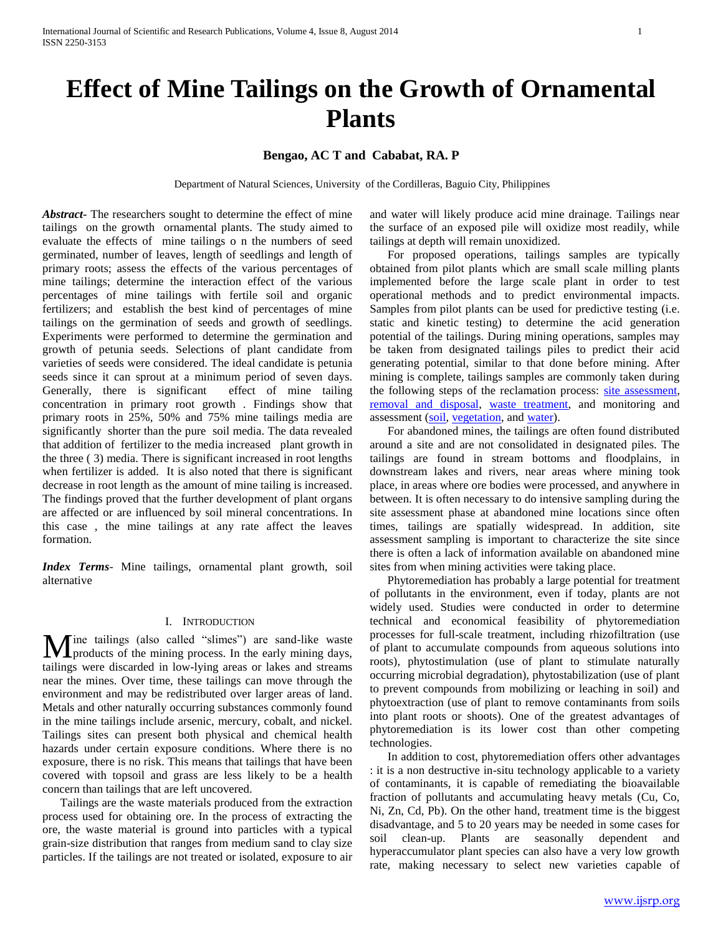# **Bengao, AC T and Cababat, RA. P**

Department of Natural Sciences, University of the Cordilleras, Baguio City, Philippines

*Abstract***-** The researchers sought to determine the effect of mine tailings on the growth ornamental plants. The study aimed to evaluate the effects of mine tailings o n the numbers of seed germinated, number of leaves, length of seedlings and length of primary roots; assess the effects of the various percentages of mine tailings; determine the interaction effect of the various percentages of mine tailings with fertile soil and organic fertilizers; and establish the best kind of percentages of mine tailings on the germination of seeds and growth of seedlings. Experiments were performed to determine the germination and growth of petunia seeds. Selections of plant candidate from varieties of seeds were considered. The ideal candidate is petunia seeds since it can sprout at a minimum period of seven days. Generally, there is significant effect of mine tailing concentration in primary root growth . Findings show that primary roots in 25%, 50% and 75% mine tailings media are significantly shorter than the pure soil media. The data revealed that addition of fertilizer to the media increased plant growth in the three ( 3) media. There is significant increased in root lengths when fertilizer is added. It is also noted that there is significant decrease in root length as the amount of mine tailing is increased. The findings proved that the further development of plant organs are affected or are influenced by soil mineral concentrations. In this case , the mine tailings at any rate affect the leaves formation.

*Index Terms*- Mine tailings, ornamental plant growth, soil alternative

## I. INTRODUCTION

Ine tailings (also called "slimes") are sand-like waste **M** ine tailings (also called "slimes") are sand-like waste products of the mining process. In the early mining days, tailings were discarded in low-lying areas or lakes and streams near the mines. Over time, these tailings can move through the environment and may be redistributed over larger areas of land. Metals and other naturally occurring substances commonly found in the mine tailings include arsenic, mercury, cobalt, and nickel. Tailings sites can present both physical and chemical health hazards under certain exposure conditions. Where there is no exposure, there is no risk. This means that tailings that have been covered with topsoil and grass are less likely to be a health concern than tailings that are left uncovered.

 Tailings are the waste materials produced from the extraction process used for obtaining ore. In the process of extracting the ore, the waste material is ground into particles with a typical grain-size distribution that ranges from medium sand to clay size particles. If the tailings are not treated or isolated, exposure to air

and water will likely produce acid mine drainage. Tailings near the surface of an exposed pile will oxidize most readily, while tailings at depth will remain unoxidized.

 For proposed operations, tailings samples are typically obtained from pilot plants which are small scale milling plants implemented before the large scale plant in order to test operational methods and to predict environmental impacts. Samples from pilot plants can be used for predictive testing (i.e. static and kinetic testing) to determine the acid generation potential of the tailings. During mining operations, samples may be taken from designated tailings piles to predict their acid generating potential, similar to that done before mining. After mining is complete, tailings samples are commonly taken during the following steps of the reclamation process: [site assessment,](http://ecorestoration.montana.edu/mineland/guide/site/aerial.htm) [removal and disposal,](http://ecorestoration.montana.edu/mineland/guide/construction/removal/default.htm) [waste treatment,](http://ecorestoration.montana.edu/mineland/guide/construction/waste/default.htm) and monitoring and assessment [\(soil,](http://ecorestoration.montana.edu/mineland/guide/monitoring/soil.htm) [vegetation,](http://ecorestoration.montana.edu/mineland/guide/monitoring/vegetation.htm) an[d water\)](http://ecorestoration.montana.edu/mineland/guide/monitoring/water.htm).

 For abandoned mines, the tailings are often found distributed around a site and are not consolidated in designated piles. The tailings are found in stream bottoms and floodplains, in downstream lakes and rivers, near areas where mining took place, in areas where ore bodies were processed, and anywhere in between. It is often necessary to do intensive sampling during the site assessment phase at abandoned mine locations since often times, tailings are spatially widespread. In addition, site assessment sampling is important to characterize the site since there is often a lack of information available on abandoned mine sites from when mining activities were taking place.

 Phytoremediation has probably a large potential for treatment of pollutants in the environment, even if today, plants are not widely used. Studies were conducted in order to determine technical and economical feasibility of phytoremediation processes for full-scale treatment, including rhizofiltration (use of plant to accumulate compounds from aqueous solutions into roots), phytostimulation (use of plant to stimulate naturally occurring microbial degradation), phytostabilization (use of plant to prevent compounds from mobilizing or leaching in soil) and phytoextraction (use of plant to remove contaminants from soils into plant roots or shoots). One of the greatest advantages of phytoremediation is its lower cost than other competing technologies.

 In addition to cost, phytoremediation offers other advantages : it is a non destructive in-situ technology applicable to a variety of contaminants, it is capable of remediating the bioavailable fraction of pollutants and accumulating heavy metals (Cu, Co, Ni, Zn, Cd, Pb). On the other hand, treatment time is the biggest disadvantage, and 5 to 20 years may be needed in some cases for soil clean-up. Plants are seasonally dependent and hyperaccumulator plant species can also have a very low growth rate, making necessary to select new varieties capable of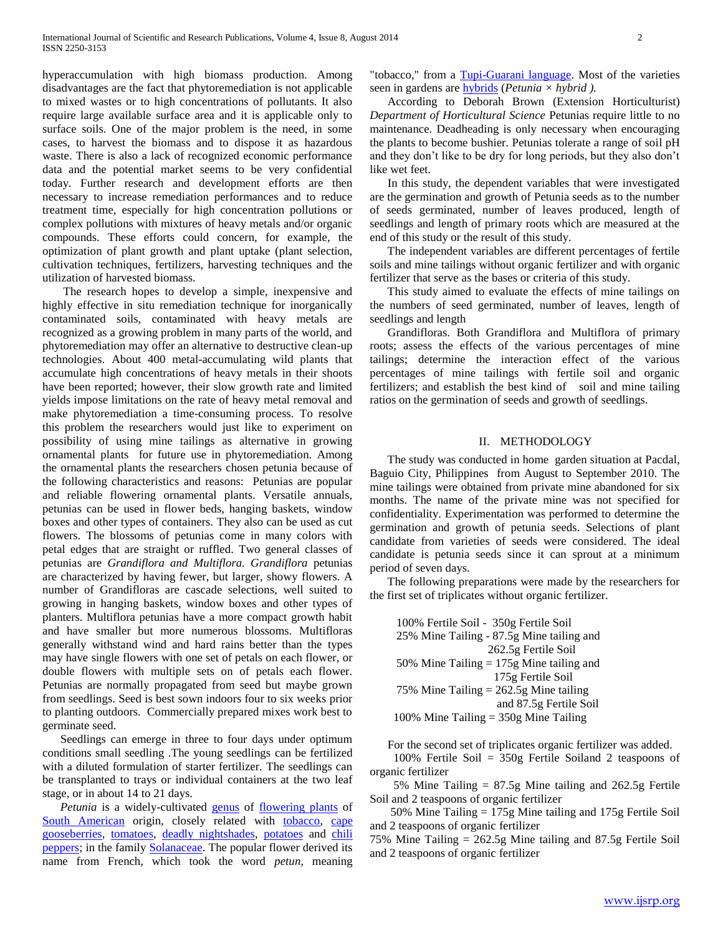hyperaccumulation with high biomass production. Among disadvantages are the fact that phytoremediation is not applicable to mixed wastes or to high concentrations of pollutants. It also require large available surface area and it is applicable only to surface soils. One of the major problem is the need, in some cases, to harvest the biomass and to dispose it as hazardous waste. There is also a lack of recognized economic performance data and the potential market seems to be very confidential today. Further research and development efforts are then necessary to increase remediation performances and to reduce treatment time, especially for high concentration pollutions or complex pollutions with mixtures of heavy metals and/or organic compounds. These efforts could concern, for example, the optimization of plant growth and plant uptake (plant selection, cultivation techniques, fertilizers, harvesting techniques and the utilization of harvested biomass.

 The research hopes to develop a simple, inexpensive and highly effective in situ remediation technique for inorganically contaminated soils, contaminated with heavy metals are recognized as a growing problem in many parts of the world, and phytoremediation may offer an alternative to destructive clean-up technologies. About 400 metal-accumulating wild plants that accumulate high concentrations of heavy metals in their shoots have been reported; however, their slow growth rate and limited yields impose limitations on the rate of heavy metal removal and make phytoremediation a time-consuming process. To resolve this problem the researchers would just like to experiment on possibility of using mine tailings as alternative in growing ornamental plants for future use in phytoremediation. Among the ornamental plants the researchers chosen petunia because of the following characteristics and reasons: Petunias are popular and reliable flowering ornamental plants. Versatile annuals, petunias can be used in flower beds, hanging baskets, window boxes and other types of containers. They also can be used as cut flowers. The blossoms of petunias come in many colors with petal edges that are straight or ruffled. Two general classes of petunias are *Grandiflora and Multiflora. Grandiflora* petunias are characterized by having fewer, but larger, showy flowers. A number of Grandifloras are cascade selections, well suited to growing in hanging baskets, window boxes and other types of planters. Multiflora petunias have a more compact growth habit and have smaller but more numerous blossoms. Multifloras generally withstand wind and hard rains better than the types may have single flowers with one set of petals on each flower, or double flowers with multiple sets on of petals each flower. Petunias are normally propagated from seed but maybe grown from seedlings. Seed is best sown indoors four to six weeks prior to planting outdoors. Commercially prepared mixes work best to germinate seed.

 Seedlings can emerge in three to four days under optimum conditions small seedling .The young seedlings can be fertilized with a diluted formulation of starter fertilizer. The seedlings can be transplanted to trays or individual containers at the two leaf stage, or in about 14 to 21 days.

*Petunia* is a widely-cultivated **genus** of [flowering plants](http://en.wikipedia.org/wiki/Flowering_plant) of [South American](http://en.wikipedia.org/wiki/South_America) origin, closely related with [tobacco,](http://en.wikipedia.org/wiki/Nicotiana_tabacum) cape [gooseberries,](http://en.wikipedia.org/wiki/Physalis_peruviana) [tomatoes,](http://en.wikipedia.org/wiki/Tomato) [deadly nightshades,](http://en.wikipedia.org/wiki/Atropa_belladonna) [potatoes](http://en.wikipedia.org/wiki/Potato) and [chili](http://en.wikipedia.org/wiki/Capiscum)  [peppers;](http://en.wikipedia.org/wiki/Capiscum) in the family [Solanaceae.](http://en.wikipedia.org/wiki/Solanaceae) The popular flower derived its name from French, which took the word *petun*, meaning

"tobacco," from a [Tupi-Guarani language.](http://en.wikipedia.org/wiki/Tupi-Guarani_languages) Most of the varieties seen in gardens are [hybrids](http://en.wikipedia.org/wiki/Hybrid_%28biology%29) (*Petunia × hybrid ).*

 According to Deborah Brown (Extension Horticulturist) *Department of Horticultural Science* Petunias require little to no maintenance. Deadheading is only necessary when encouraging the plants to become bushier. Petunias tolerate a range of soil pH and they don't like to be dry for long periods, but they also don't like wet feet.

 In this study, the dependent variables that were investigated are the germination and growth of Petunia seeds as to the number of seeds germinated, number of leaves produced, length of seedlings and length of primary roots which are measured at the end of this study or the result of this study.

 The independent variables are different percentages of fertile soils and mine tailings without organic fertilizer and with organic fertilizer that serve as the bases or criteria of this study.

 This study aimed to evaluate the effects of mine tailings on the numbers of seed germinated, number of leaves, length of seedlings and length

 Grandifloras. Both Grandiflora and Multiflora of primary roots; assess the effects of the various percentages of mine tailings; determine the interaction effect of the various percentages of mine tailings with fertile soil and organic fertilizers; and establish the best kind of soil and mine tailing ratios on the germination of seeds and growth of seedlings.

### II. METHODOLOGY

 The study was conducted in home garden situation at Pacdal, Baguio City, Philippines from August to September 2010. The mine tailings were obtained from private mine abandoned for six months. The name of the private mine was not specified for confidentiality. Experimentation was performed to determine the germination and growth of petunia seeds. Selections of plant candidate from varieties of seeds were considered. The ideal candidate is petunia seeds since it can sprout at a minimum period of seven days.

 The following preparations were made by the researchers for the first set of triplicates without organic fertilizer.

 100% Fertile Soil - 350g Fertile Soil 25% Mine Tailing - 87.5g Mine tailing and 262.5g Fertile Soil 50% Mine Tailing = 175g Mine tailing and 175g Fertile Soil 75% Mine Tailing = 262.5g Mine tailing and 87.5g Fertile Soil 100% Mine Tailing  $= 350g$  Mine Tailing

For the second set of triplicates organic fertilizer was added.

 100% Fertile Soil = 350g Fertile Soiland 2 teaspoons of organic fertilizer

 5% Mine Tailing = 87.5g Mine tailing and 262.5g Fertile Soil and 2 teaspoons of organic fertilizer

 50% Mine Tailing = 175g Mine tailing and 175g Fertile Soil and 2 teaspoons of organic fertilizer

75% Mine Tailing = 262.5g Mine tailing and 87.5g Fertile Soil and 2 teaspoons of organic fertilizer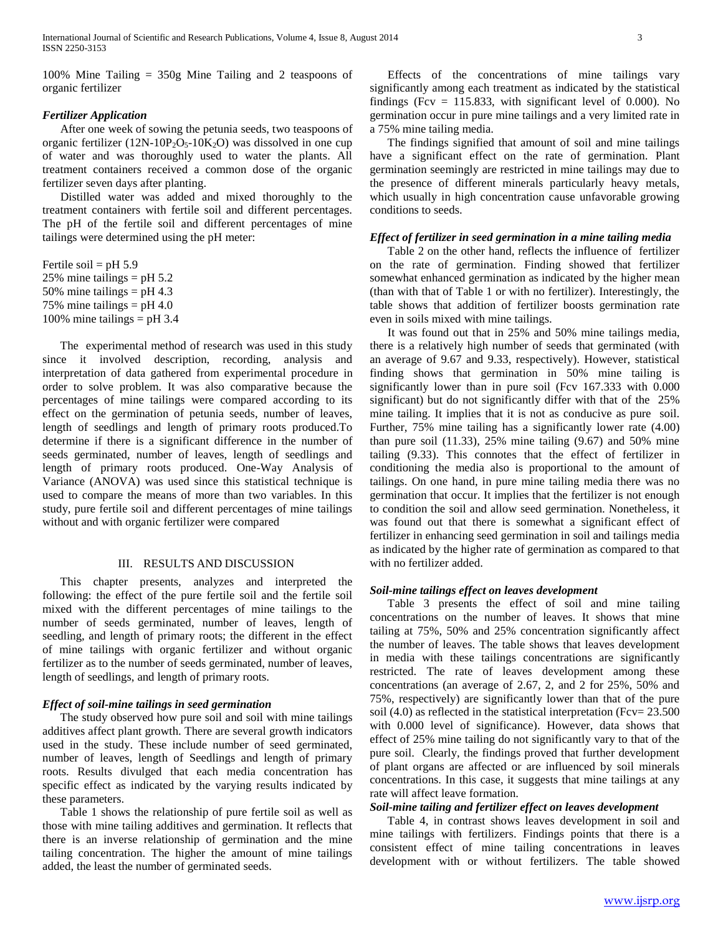100% Mine Tailing = 350g Mine Tailing and 2 teaspoons of organic fertilizer

## *Fertilizer Application*

 After one week of sowing the petunia seeds, two teaspoons of organic fertilizer (12N-10P<sub>2</sub>O<sub>5</sub>-10K<sub>2</sub>O) was dissolved in one cup of water and was thoroughly used to water the plants. All treatment containers received a common dose of the organic fertilizer seven days after planting.

 Distilled water was added and mixed thoroughly to the treatment containers with fertile soil and different percentages. The pH of the fertile soil and different percentages of mine tailings were determined using the pH meter:

Fertile soil =  $pH$  5.9 25% mine tailings =  $pH$  5.2 50% mine tailings =  $pH$  4.3 75% mine tailings  $=$  pH 4.0 100% mine tailings =  $pH$  3.4

 The experimental method of research was used in this study since it involved description, recording, analysis and interpretation of data gathered from experimental procedure in order to solve problem. It was also comparative because the percentages of mine tailings were compared according to its effect on the germination of petunia seeds, number of leaves, length of seedlings and length of primary roots produced.To determine if there is a significant difference in the number of seeds germinated, number of leaves, length of seedlings and length of primary roots produced. One-Way Analysis of Variance (ANOVA) was used since this statistical technique is used to compare the means of more than two variables. In this study, pure fertile soil and different percentages of mine tailings without and with organic fertilizer were compared

## III. RESULTS AND DISCUSSION

 This chapter presents, analyzes and interpreted the following: the effect of the pure fertile soil and the fertile soil mixed with the different percentages of mine tailings to the number of seeds germinated, number of leaves, length of seedling, and length of primary roots; the different in the effect of mine tailings with organic fertilizer and without organic fertilizer as to the number of seeds germinated, number of leaves, length of seedlings, and length of primary roots.

### *Effect of soil-mine tailings in seed germination*

 The study observed how pure soil and soil with mine tailings additives affect plant growth. There are several growth indicators used in the study. These include number of seed germinated, number of leaves, length of Seedlings and length of primary roots. Results divulged that each media concentration has specific effect as indicated by the varying results indicated by these parameters.

 Table 1 shows the relationship of pure fertile soil as well as those with mine tailing additives and germination. It reflects that there is an inverse relationship of germination and the mine tailing concentration. The higher the amount of mine tailings added, the least the number of germinated seeds.

 Effects of the concentrations of mine tailings vary significantly among each treatment as indicated by the statistical findings (Fcv  $= 115.833$ , with significant level of 0.000). No germination occur in pure mine tailings and a very limited rate in a 75% mine tailing media.

 The findings signified that amount of soil and mine tailings have a significant effect on the rate of germination. Plant germination seemingly are restricted in mine tailings may due to the presence of different minerals particularly heavy metals, which usually in high concentration cause unfavorable growing conditions to seeds.

## *Effect of fertilizer in seed germination in a mine tailing media*

 Table 2 on the other hand, reflects the influence of fertilizer on the rate of germination. Finding showed that fertilizer somewhat enhanced germination as indicated by the higher mean (than with that of Table 1 or with no fertilizer). Interestingly, the table shows that addition of fertilizer boosts germination rate even in soils mixed with mine tailings.

 It was found out that in 25% and 50% mine tailings media, there is a relatively high number of seeds that germinated (with an average of 9.67 and 9.33, respectively). However, statistical finding shows that germination in 50% mine tailing is significantly lower than in pure soil (Fcv 167.333 with 0.000 significant) but do not significantly differ with that of the 25% mine tailing. It implies that it is not as conducive as pure soil. Further, 75% mine tailing has a significantly lower rate (4.00) than pure soil  $(11.33)$ , 25% mine tailing  $(9.67)$  and 50% mine tailing (9.33). This connotes that the effect of fertilizer in conditioning the media also is proportional to the amount of tailings. On one hand, in pure mine tailing media there was no germination that occur. It implies that the fertilizer is not enough to condition the soil and allow seed germination. Nonetheless, it was found out that there is somewhat a significant effect of fertilizer in enhancing seed germination in soil and tailings media as indicated by the higher rate of germination as compared to that with no fertilizer added.

### *Soil-mine tailings effect on leaves development*

 Table 3 presents the effect of soil and mine tailing concentrations on the number of leaves. It shows that mine tailing at 75%, 50% and 25% concentration significantly affect the number of leaves. The table shows that leaves development in media with these tailings concentrations are significantly restricted. The rate of leaves development among these concentrations (an average of 2.67, 2, and 2 for 25%, 50% and 75%, respectively) are significantly lower than that of the pure soil (4.0) as reflected in the statistical interpretation (Fcv= 23.500 with 0.000 level of significance). However, data shows that effect of 25% mine tailing do not significantly vary to that of the pure soil. Clearly, the findings proved that further development of plant organs are affected or are influenced by soil minerals concentrations. In this case, it suggests that mine tailings at any rate will affect leave formation.

# *Soil-mine tailing and fertilizer effect on leaves development*

 Table 4, in contrast shows leaves development in soil and mine tailings with fertilizers. Findings points that there is a consistent effect of mine tailing concentrations in leaves development with or without fertilizers. The table showed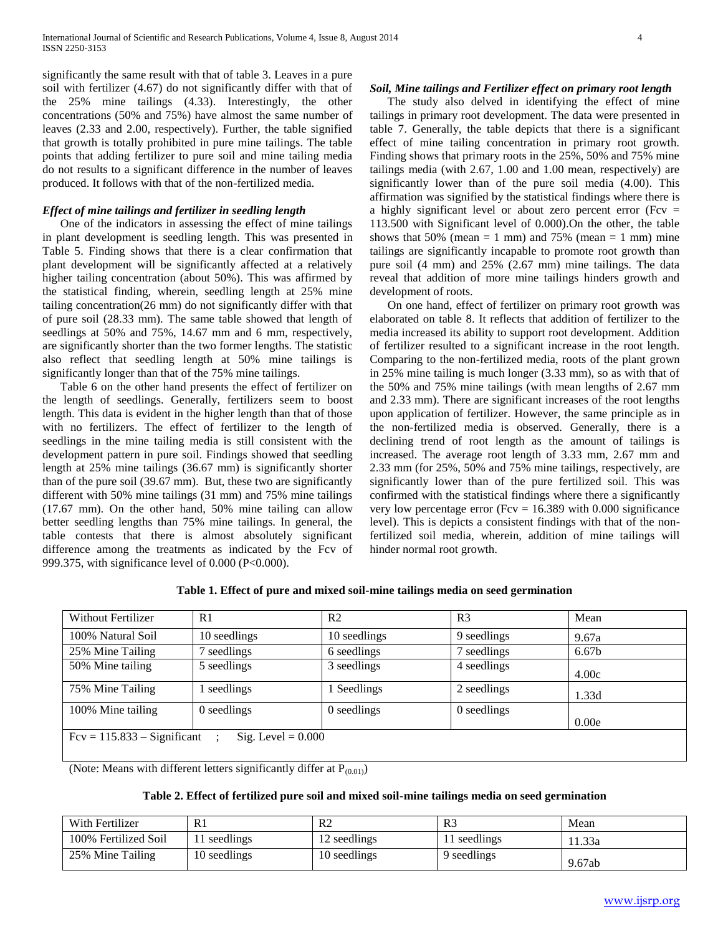significantly the same result with that of table 3. Leaves in a pure soil with fertilizer (4.67) do not significantly differ with that of the 25% mine tailings (4.33). Interestingly, the other concentrations (50% and 75%) have almost the same number of leaves (2.33 and 2.00, respectively). Further, the table signified that growth is totally prohibited in pure mine tailings. The table points that adding fertilizer to pure soil and mine tailing media do not results to a significant difference in the number of leaves produced. It follows with that of the non-fertilized media.

# *Effect of mine tailings and fertilizer in seedling length*

 One of the indicators in assessing the effect of mine tailings in plant development is seedling length. This was presented in Table 5. Finding shows that there is a clear confirmation that plant development will be significantly affected at a relatively higher tailing concentration (about 50%). This was affirmed by the statistical finding, wherein, seedling length at 25% mine tailing concentration(26 mm) do not significantly differ with that of pure soil (28.33 mm). The same table showed that length of seedlings at 50% and 75%, 14.67 mm and 6 mm, respectively, are significantly shorter than the two former lengths. The statistic also reflect that seedling length at 50% mine tailings is significantly longer than that of the 75% mine tailings.

 Table 6 on the other hand presents the effect of fertilizer on the length of seedlings. Generally, fertilizers seem to boost length. This data is evident in the higher length than that of those with no fertilizers. The effect of fertilizer to the length of seedlings in the mine tailing media is still consistent with the development pattern in pure soil. Findings showed that seedling length at 25% mine tailings (36.67 mm) is significantly shorter than of the pure soil (39.67 mm). But, these two are significantly different with 50% mine tailings (31 mm) and 75% mine tailings (17.67 mm). On the other hand, 50% mine tailing can allow better seedling lengths than 75% mine tailings. In general, the table contests that there is almost absolutely significant difference among the treatments as indicated by the Fcv of 999.375, with significance level of 0.000 (P<0.000).

## *Soil, Mine tailings and Fertilizer effect on primary root length*

 The study also delved in identifying the effect of mine tailings in primary root development. The data were presented in table 7. Generally, the table depicts that there is a significant effect of mine tailing concentration in primary root growth. Finding shows that primary roots in the 25%, 50% and 75% mine tailings media (with 2.67, 1.00 and 1.00 mean, respectively) are significantly lower than of the pure soil media (4.00). This affirmation was signified by the statistical findings where there is a highly significant level or about zero percent error (Fcv = 113.500 with Significant level of 0.000).On the other, the table shows that 50% (mean  $= 1$  mm) and 75% (mean  $= 1$  mm) mine tailings are significantly incapable to promote root growth than pure soil (4 mm) and 25% (2.67 mm) mine tailings. The data reveal that addition of more mine tailings hinders growth and development of roots.

 On one hand, effect of fertilizer on primary root growth was elaborated on table 8. It reflects that addition of fertilizer to the media increased its ability to support root development. Addition of fertilizer resulted to a significant increase in the root length. Comparing to the non-fertilized media, roots of the plant grown in 25% mine tailing is much longer (3.33 mm), so as with that of the 50% and 75% mine tailings (with mean lengths of 2.67 mm and 2.33 mm). There are significant increases of the root lengths upon application of fertilizer. However, the same principle as in the non-fertilized media is observed. Generally, there is a declining trend of root length as the amount of tailings is increased. The average root length of 3.33 mm, 2.67 mm and 2.33 mm (for 25%, 50% and 75% mine tailings, respectively, are significantly lower than of the pure fertilized soil. This was confirmed with the statistical findings where there a significantly very low percentage error (Fcv =  $16.389$  with 0.000 significance level). This is depicts a consistent findings with that of the nonfertilized soil media, wherein, addition of mine tailings will hinder normal root growth.

| <b>Without Fertilizer</b>     | R <sub>1</sub>       | R <sub>2</sub> | R <sub>3</sub> | Mean              |
|-------------------------------|----------------------|----------------|----------------|-------------------|
| 100% Natural Soil             | 10 seedlings         | 10 seedlings   | 9 seedlings    | 9.67a             |
| 25% Mine Tailing              | seedlings            | 6 seedlings    | 7 seedlings    | 6.67 <sub>b</sub> |
| 50% Mine tailing              | 5 seedlings          | 3 seedlings    | 4 seedlings    | 4.00c             |
| 75% Mine Tailing              | seedlings            | Seedlings      | 2 seedlings    | 1.33d             |
| 100% Mine tailing             | 0 seedlings          | 0 seedlings    | 0 seedlings    |                   |
|                               |                      |                |                | 0.00e             |
| $Fcv = 115.833 - Significant$ | Sig. Level $= 0.000$ |                |                |                   |

**Table 1. Effect of pure and mixed soil-mine tailings media on seed germination**

(Note: Means with different letters significantly differ at  $P_{(0.01)}$ )

| Table 2. Effect of fertilized pure soil and mixed soil-mine tailings media on seed germination |  |  |
|------------------------------------------------------------------------------------------------|--|--|
|                                                                                                |  |  |

| With Fertilizer      | $R_{\perp}$  | R <sub>2</sub> | R3           | Mean   |
|----------------------|--------------|----------------|--------------|--------|
| 100% Fertilized Soil | 11 seedlings | 12 seedlings   | 11 seedlings | 11.33a |
| 25% Mine Tailing     | 10 seedlings | 10 seedlings   | 9 seedlings  | 9.67ab |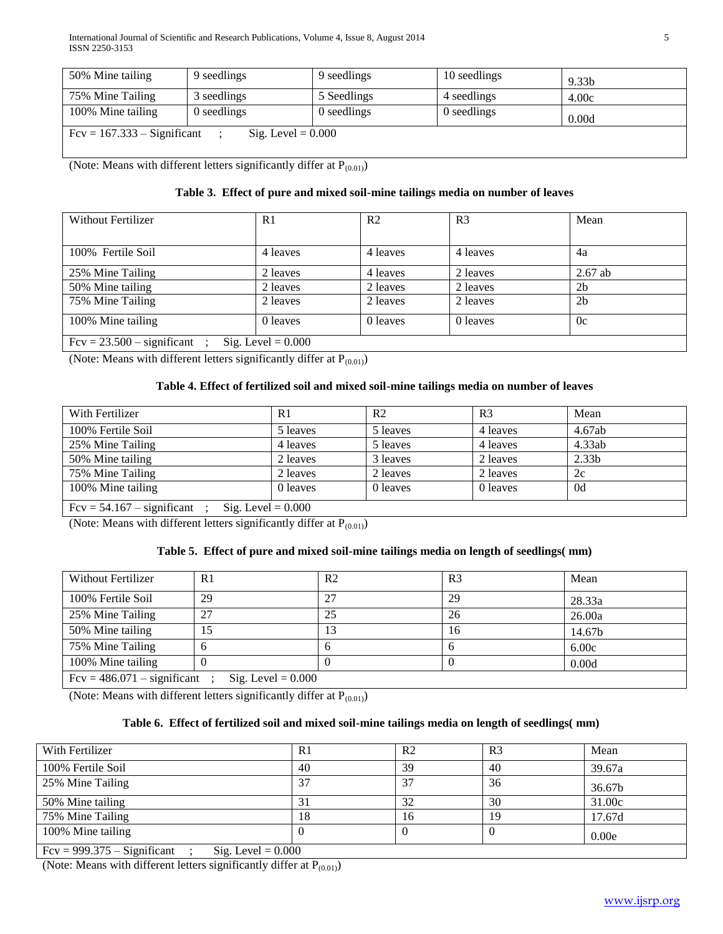| 50% Mine tailing                                      | 9 seedlings | 9 seedlings | 10 seedlings | 9.33 <sub>b</sub> |  |  |
|-------------------------------------------------------|-------------|-------------|--------------|-------------------|--|--|
| 75% Mine Tailing                                      | 3 seedlings | 5 Seedlings | 4 seedlings  | 4.00c             |  |  |
| 100% Mine tailing                                     | 0 seedlings | 0 seedlings | 0 seedlings  | 0.00d             |  |  |
| $Fcv = 167.333 -$ Significant<br>Sig. Level $= 0.000$ |             |             |              |                   |  |  |

(Note: Means with different letters significantly differ at  $P_{(0.01)}$ )

# **Table 3. Effect of pure and mixed soil-mine tailings media on number of leaves**

| Without Fertilizer                                   | R <sub>1</sub> | R <sub>2</sub> | R <sub>3</sub> | Mean           |  |  |
|------------------------------------------------------|----------------|----------------|----------------|----------------|--|--|
| 100% Fertile Soil                                    | 4 leaves       | 4 leaves       | 4 leaves       | 4a             |  |  |
| 25% Mine Tailing                                     | 2 leaves       | 4 leaves       | 2 leaves       | $2.67$ ab      |  |  |
| 50% Mine tailing                                     | 2 leaves       | 2 leaves       | 2 leaves       | 2 <sub>b</sub> |  |  |
| 75% Mine Tailing                                     | 2 leaves       | 2 leaves       | 2 leaves       | 2 <sub>b</sub> |  |  |
| 100% Mine tailing                                    | 0 leaves       | 0 leaves       | 0 leaves       | 0c             |  |  |
| Sig. Level $= 0.000$<br>$Fcv = 23.500 -$ significant |                |                |                |                |  |  |

(Note: Means with different letters significantly differ at  $P_{(0.01)}$ )

# **Table 4. Effect of fertilized soil and mixed soil-mine tailings media on number of leaves**

| With Fertilizer                                      | R1       | R <sub>2</sub> | R <sub>3</sub> | Mean              |  |
|------------------------------------------------------|----------|----------------|----------------|-------------------|--|
| 100% Fertile Soil                                    | 5 leaves | 5 leaves       | 4 leaves       | 4.67ab            |  |
| 25% Mine Tailing                                     | 4 leaves | 5 leaves       | 4 leaves       | 4.33ab            |  |
| 50% Mine tailing                                     | 2 leaves | 3 leaves       | 2 leaves       | 2.33 <sub>b</sub> |  |
| 75% Mine Tailing                                     | 2 leaves | 2 leaves       | 2 leaves       | 2c                |  |
| 100% Mine tailing                                    | 0 leaves | 0 leaves       | 0 leaves       | 0d                |  |
| $Fcv = 54.167 -$ significant<br>Sig. Level $= 0.000$ |          |                |                |                   |  |

(Note: Means with different letters significantly differ at  $P_{(0.01)}$ )

# **Table 5. Effect of pure and mixed soil-mine tailings media on length of seedlings( mm)**

| Without Fertilizer                                      | R <sub>1</sub> | R <sub>2</sub> | R <sub>3</sub> | Mean   |  |
|---------------------------------------------------------|----------------|----------------|----------------|--------|--|
| 100% Fertile Soil                                       | 29             | 27             | 29             | 28.33a |  |
| 25% Mine Tailing                                        | 27             | 25             | 26             | 26.00a |  |
| 50% Mine tailing                                        |                | 13             | 16             | 14.67b |  |
| 75% Mine Tailing                                        |                |                | n              | 6.00c  |  |
| 100% Mine tailing                                       |                |                |                | 0.00d  |  |
| $Fcv = 486.071 - significant$ ;<br>Sig. Level $= 0.000$ |                |                |                |        |  |

(Note: Means with different letters significantly differ at  $P_{(0.01)}$ )

# **Table 6. Effect of fertilized soil and mixed soil-mine tailings media on length of seedlings( mm)**

| With Fertilizer                                                       | R <sub>1</sub> | R <sub>2</sub> | R <sub>3</sub> | Mean   |  |  |
|-----------------------------------------------------------------------|----------------|----------------|----------------|--------|--|--|
| 100% Fertile Soil                                                     | 40             | 39             | 40             | 39.67a |  |  |
| 25% Mine Tailing                                                      | J              | 3 <sup>7</sup> | 36             | 36.67b |  |  |
| 50% Mine tailing                                                      | ر ر            | 32             | 30             | 31.00c |  |  |
| 75% Mine Tailing                                                      | 18             | 16             | 19             | 17.67d |  |  |
| 100% Mine tailing                                                     |                |                |                | 0.00e  |  |  |
| $E_{CV} = 000.375$ $\leq$ Significant<br>$\text{Si}_0$ L avel – 0.000 |                |                |                |        |  |  |

 $= 999.375 -$ Significant ; Sig. Level = 0.000

(Note: Means with different letters significantly differ at  $P_{(0.01)}$ )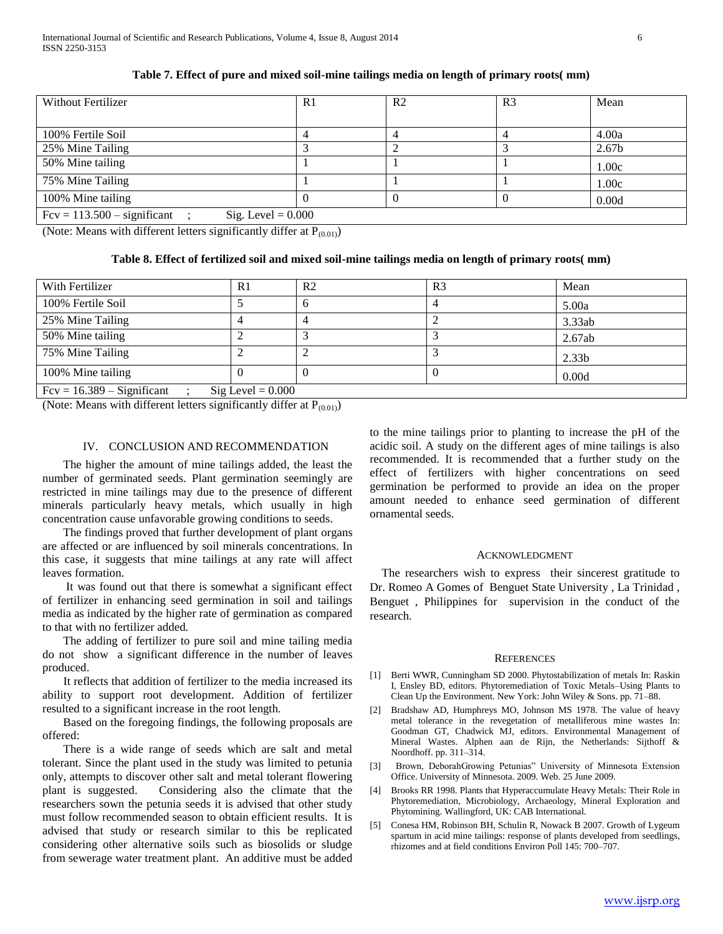| <b>Without Fertilizer</b>                             | R <sub>1</sub> | R <sub>2</sub> | R <sub>3</sub> | Mean              |  |  |
|-------------------------------------------------------|----------------|----------------|----------------|-------------------|--|--|
| 100% Fertile Soil                                     |                |                |                | 4.00a             |  |  |
| 25% Mine Tailing                                      |                |                |                | 2.67 <sub>b</sub> |  |  |
| 50% Mine tailing                                      |                |                |                | 1.00c             |  |  |
| 75% Mine Tailing                                      |                |                |                | 1.00c             |  |  |
| 100% Mine tailing                                     |                |                |                | 0.00d             |  |  |
| $Fcv = 113.500 -$ significant<br>Sig. Level $= 0.000$ |                |                |                |                   |  |  |

**Table 7. Effect of pure and mixed soil-mine tailings media on length of primary roots( mm)**

(Note: Means with different letters significantly differ at  $P_{(0.01)}$ )

# **Table 8. Effect of fertilized soil and mixed soil-mine tailings media on length of primary roots( mm)**

| With Fertilizer                                            | R <sub>1</sub> | R <sub>2</sub> | R <sub>3</sub> | Mean              |  |  |
|------------------------------------------------------------|----------------|----------------|----------------|-------------------|--|--|
| 100% Fertile Soil                                          |                |                |                | 5.00a             |  |  |
| 25% Mine Tailing                                           |                |                |                | 3.33ab            |  |  |
| 50% Mine tailing                                           |                |                |                | 2.67ab            |  |  |
| 75% Mine Tailing                                           |                |                |                | 2.33 <sub>b</sub> |  |  |
| 100% Mine tailing                                          |                |                |                | 0.00d             |  |  |
| $Fcv = 16.389 -$ Significant<br>$\text{Sig Level} = 0.000$ |                |                |                |                   |  |  |

(Note: Means with different letters significantly differ at  $P_{(0.01)}$ )

## IV. CONCLUSION AND RECOMMENDATION

 The higher the amount of mine tailings added, the least the number of germinated seeds. Plant germination seemingly are restricted in mine tailings may due to the presence of different minerals particularly heavy metals, which usually in high concentration cause unfavorable growing conditions to seeds.

 The findings proved that further development of plant organs are affected or are influenced by soil minerals concentrations. In this case, it suggests that mine tailings at any rate will affect leaves formation.

 It was found out that there is somewhat a significant effect of fertilizer in enhancing seed germination in soil and tailings media as indicated by the higher rate of germination as compared to that with no fertilizer added.

 The adding of fertilizer to pure soil and mine tailing media do not show a significant difference in the number of leaves produced.

 It reflects that addition of fertilizer to the media increased its ability to support root development. Addition of fertilizer resulted to a significant increase in the root length.

 Based on the foregoing findings, the following proposals are offered:

 There is a wide range of seeds which are salt and metal tolerant. Since the plant used in the study was limited to petunia only, attempts to discover other salt and metal tolerant flowering plant is suggested. Considering also the climate that the researchers sown the petunia seeds it is advised that other study must follow recommended season to obtain efficient results. It is advised that study or research similar to this be replicated considering other alternative soils such as biosolids or sludge from sewerage water treatment plant. An additive must be added to the mine tailings prior to planting to increase the pH of the acidic soil. A study on the different ages of mine tailings is also recommended. It is recommended that a further study on the effect of fertilizers with higher concentrations on seed germination be performed to provide an idea on the proper amount needed to enhance seed germination of different ornamental seeds.

#### ACKNOWLEDGMENT

The researchers wish to express their sincerest gratitude to Dr. Romeo A Gomes of Benguet State University , La Trinidad , Benguet , Philippines for supervision in the conduct of the research.

#### **REFERENCES**

- [1] Berti WWR, Cunningham SD 2000. Phytostabilization of metals In: Raskin I, Ensley BD, editors. Phytoremediation of Toxic Metals–Using Plants to Clean Up the Environment. New York: John Wiley & Sons. pp. 71–88.
- [2] Bradshaw AD, Humphreys MO, Johnson MS 1978. The value of heavy metal tolerance in the revegetation of metalliferous mine wastes In: Goodman GT, Chadwick MJ, editors. Environmental Management of Mineral Wastes. Alphen aan de Rijn, the Netherlands: Sijthoff & Noordhoff. pp. 311–314.
- [3] Brown, DeborahGrowing Petunias" University of Minnesota Extension Office. University of Minnesota. 2009. Web. 25 June 2009.
- [4] Brooks RR 1998. Plants that Hyperaccumulate Heavy Metals: Their Role in Phytoremediation, Microbiology, Archaeology, Mineral Exploration and Phytomining. Wallingford, UK: CAB International.
- [5] Conesa HM, Robinson BH, Schulin R, Nowack B 2007. Growth of Lygeum spartum in acid mine tailings: response of plants developed from seedlings, rhizomes and at field conditions Environ Poll 145: 700–707.